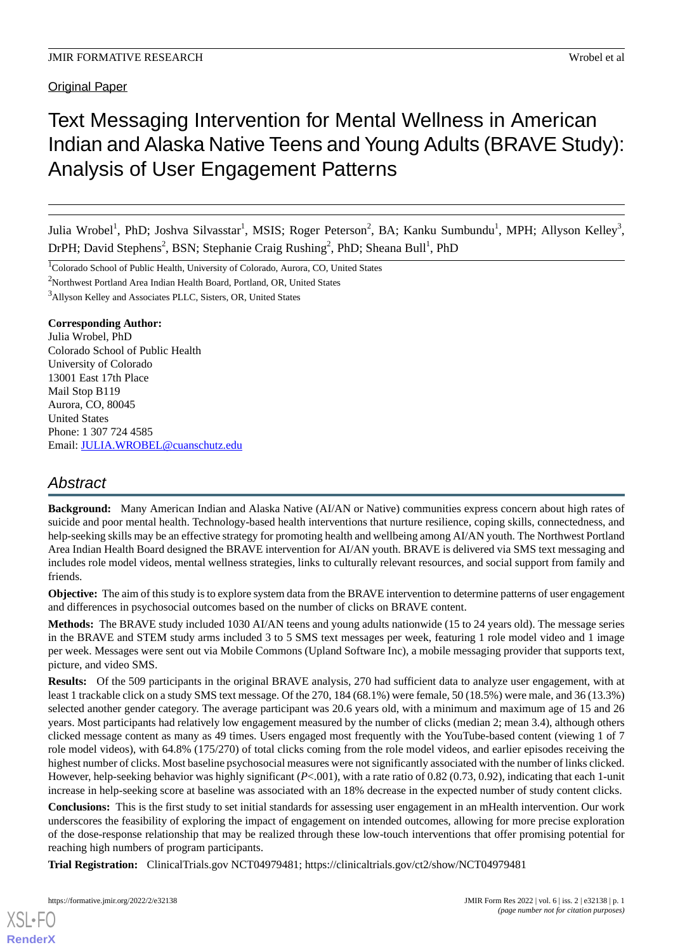Original Paper

# Text Messaging Intervention for Mental Wellness in American Indian and Alaska Native Teens and Young Adults (BRAVE Study): Analysis of User Engagement Patterns

Julia Wrobel<sup>1</sup>, PhD; Joshva Silvasstar<sup>1</sup>, MSIS; Roger Peterson<sup>2</sup>, BA; Kanku Sumbundu<sup>1</sup>, MPH; Allyson Kelley<sup>3</sup>, DrPH; David Stephens<sup>2</sup>, BSN; Stephanie Craig Rushing<sup>2</sup>, PhD; Sheana Bull<sup>1</sup>, PhD

<sup>1</sup>Colorado School of Public Health, University of Colorado, Aurora, CO, United States

<sup>2</sup>Northwest Portland Area Indian Health Board, Portland, OR, United States

<sup>3</sup>Allyson Kelley and Associates PLLC, Sisters, OR, United States

#### **Corresponding Author:**

Julia Wrobel, PhD Colorado School of Public Health University of Colorado 13001 East 17th Place Mail Stop B119 Aurora, CO, 80045 United States Phone: 1 307 724 4585 Email: [JULIA.WROBEL@cuanschutz.edu](mailto:JULIA.WROBEL@cuanschutz.edu)

# *Abstract*

**Background:** Many American Indian and Alaska Native (AI/AN or Native) communities express concern about high rates of suicide and poor mental health. Technology-based health interventions that nurture resilience, coping skills, connectedness, and help-seeking skills may be an effective strategy for promoting health and wellbeing among AI/AN youth. The Northwest Portland Area Indian Health Board designed the BRAVE intervention for AI/AN youth. BRAVE is delivered via SMS text messaging and includes role model videos, mental wellness strategies, links to culturally relevant resources, and social support from family and friends.

**Objective:** The aim of this study is to explore system data from the BRAVE intervention to determine patterns of user engagement and differences in psychosocial outcomes based on the number of clicks on BRAVE content.

**Methods:** The BRAVE study included 1030 AI/AN teens and young adults nationwide (15 to 24 years old). The message series in the BRAVE and STEM study arms included 3 to 5 SMS text messages per week, featuring 1 role model video and 1 image per week. Messages were sent out via Mobile Commons (Upland Software Inc), a mobile messaging provider that supports text, picture, and video SMS.

**Results:** Of the 509 participants in the original BRAVE analysis, 270 had sufficient data to analyze user engagement, with at least 1 trackable click on a study SMS text message. Of the 270, 184 (68.1%) were female, 50 (18.5%) were male, and 36 (13.3%) selected another gender category. The average participant was 20.6 years old, with a minimum and maximum age of 15 and 26 years. Most participants had relatively low engagement measured by the number of clicks (median 2; mean 3.4), although others clicked message content as many as 49 times. Users engaged most frequently with the YouTube-based content (viewing 1 of 7 role model videos), with 64.8% (175/270) of total clicks coming from the role model videos, and earlier episodes receiving the highest number of clicks. Most baseline psychosocial measures were not significantly associated with the number of links clicked. However, help-seeking behavior was highly significant (*P*<.001), with a rate ratio of 0.82 (0.73, 0.92), indicating that each 1-unit increase in help-seeking score at baseline was associated with an 18% decrease in the expected number of study content clicks.

**Conclusions:** This is the first study to set initial standards for assessing user engagement in an mHealth intervention. Our work underscores the feasibility of exploring the impact of engagement on intended outcomes, allowing for more precise exploration of the dose-response relationship that may be realized through these low-touch interventions that offer promising potential for reaching high numbers of program participants.

**Trial Registration:** ClinicalTrials.gov NCT04979481; https://clinicaltrials.gov/ct2/show/NCT04979481

[XSL](http://www.w3.org/Style/XSL)•FO **[RenderX](http://www.renderx.com/)**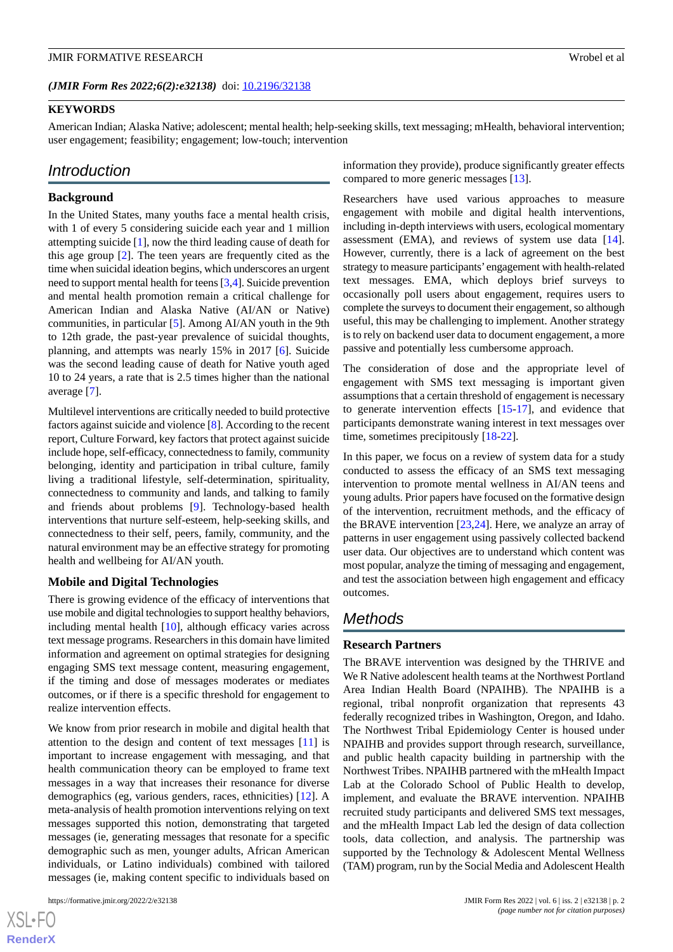### **KEYWORDS**

American Indian; Alaska Native; adolescent; mental health; help-seeking skills, text messaging; mHealth, behavioral intervention; user engagement; feasibility; engagement; low-touch; intervention

# *Introduction*

#### **Background**

In the United States, many youths face a mental health crisis, with 1 of every 5 considering suicide each year and 1 million attempting suicide [[1](#page-7-0)], now the third leading cause of death for this age group [[2](#page-7-1)]. The teen years are frequently cited as the time when suicidal ideation begins, which underscores an urgent need to support mental health for teens [\[3](#page-7-2),[4\]](#page-7-3). Suicide prevention and mental health promotion remain a critical challenge for American Indian and Alaska Native (AI/AN or Native) communities, in particular [\[5](#page-7-4)]. Among AI/AN youth in the 9th to 12th grade, the past-year prevalence of suicidal thoughts, planning, and attempts was nearly 15% in 2017 [\[6](#page-8-0)]. Suicide was the second leading cause of death for Native youth aged 10 to 24 years, a rate that is 2.5 times higher than the national average [\[7](#page-8-1)].

Multilevel interventions are critically needed to build protective factors against suicide and violence [[8\]](#page-8-2). According to the recent report, Culture Forward, key factors that protect against suicide include hope, self-efficacy, connectedness to family, community belonging, identity and participation in tribal culture, family living a traditional lifestyle, self-determination, spirituality, connectedness to community and lands, and talking to family and friends about problems [\[9](#page-8-3)]. Technology-based health interventions that nurture self-esteem, help-seeking skills, and connectedness to their self, peers, family, community, and the natural environment may be an effective strategy for promoting health and wellbeing for AI/AN youth.

#### **Mobile and Digital Technologies**

There is growing evidence of the efficacy of interventions that use mobile and digital technologies to support healthy behaviors, including mental health [\[10](#page-8-4)], although efficacy varies across text message programs. Researchers in this domain have limited information and agreement on optimal strategies for designing engaging SMS text message content, measuring engagement, if the timing and dose of messages moderates or mediates outcomes, or if there is a specific threshold for engagement to realize intervention effects.

We know from prior research in mobile and digital health that attention to the design and content of text messages [[11\]](#page-8-5) is important to increase engagement with messaging, and that health communication theory can be employed to frame text messages in a way that increases their resonance for diverse demographics (eg, various genders, races, ethnicities) [[12\]](#page-8-6). A meta-analysis of health promotion interventions relying on text messages supported this notion, demonstrating that targeted messages (ie, generating messages that resonate for a specific demographic such as men, younger adults, African American individuals, or Latino individuals) combined with tailored messages (ie, making content specific to individuals based on

information they provide), produce significantly greater effects compared to more generic messages [\[13](#page-8-7)].

Researchers have used various approaches to measure engagement with mobile and digital health interventions, including in-depth interviews with users, ecological momentary assessment (EMA), and reviews of system use data [[14\]](#page-8-8). However, currently, there is a lack of agreement on the best strategy to measure participants'engagement with health-related text messages. EMA, which deploys brief surveys to occasionally poll users about engagement, requires users to complete the surveys to document their engagement, so although useful, this may be challenging to implement. Another strategy is to rely on backend user data to document engagement, a more passive and potentially less cumbersome approach.

The consideration of dose and the appropriate level of engagement with SMS text messaging is important given assumptions that a certain threshold of engagement is necessary to generate intervention effects [[15-](#page-8-9)[17\]](#page-8-10), and evidence that participants demonstrate waning interest in text messages over time, sometimes precipitously [[18-](#page-8-11)[22](#page-8-12)].

In this paper, we focus on a review of system data for a study conducted to assess the efficacy of an SMS text messaging intervention to promote mental wellness in AI/AN teens and young adults. Prior papers have focused on the formative design of the intervention, recruitment methods, and the efficacy of the BRAVE intervention [\[23](#page-8-13),[24\]](#page-8-14). Here, we analyze an array of patterns in user engagement using passively collected backend user data. Our objectives are to understand which content was most popular, analyze the timing of messaging and engagement, and test the association between high engagement and efficacy outcomes.

## *Methods*

#### **Research Partners**

The BRAVE intervention was designed by the THRIVE and We R Native adolescent health teams at the Northwest Portland Area Indian Health Board (NPAIHB). The NPAIHB is a regional, tribal nonprofit organization that represents 43 federally recognized tribes in Washington, Oregon, and Idaho. The Northwest Tribal Epidemiology Center is housed under NPAIHB and provides support through research, surveillance, and public health capacity building in partnership with the Northwest Tribes. NPAIHB partnered with the mHealth Impact Lab at the Colorado School of Public Health to develop, implement, and evaluate the BRAVE intervention. NPAIHB recruited study participants and delivered SMS text messages, and the mHealth Impact Lab led the design of data collection tools, data collection, and analysis. The partnership was supported by the Technology & Adolescent Mental Wellness (TAM) program, run by the Social Media and Adolescent Health

 $XS$  $\cdot$ FC **[RenderX](http://www.renderx.com/)**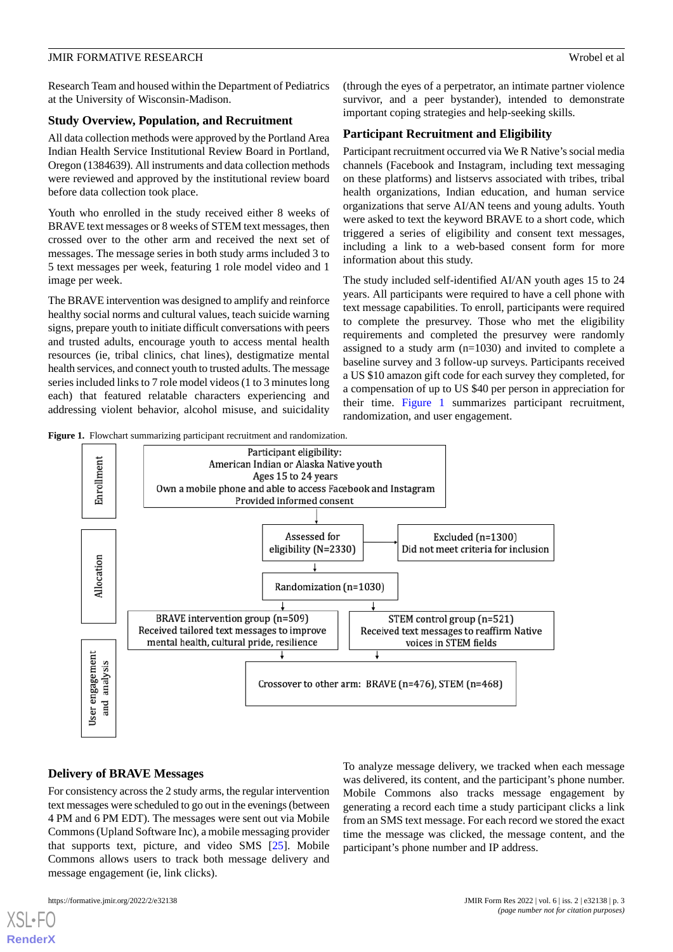Research Team and housed within the Department of Pediatrics at the University of Wisconsin-Madison.

#### **Study Overview, Population, and Recruitment**

All data collection methods were approved by the Portland Area Indian Health Service Institutional Review Board in Portland, Oregon (1384639). All instruments and data collection methods were reviewed and approved by the institutional review board before data collection took place.

Youth who enrolled in the study received either 8 weeks of BRAVE text messages or 8 weeks of STEM text messages, then crossed over to the other arm and received the next set of messages. The message series in both study arms included 3 to 5 text messages per week, featuring 1 role model video and 1 image per week.

The BRAVE intervention was designed to amplify and reinforce healthy social norms and cultural values, teach suicide warning signs, prepare youth to initiate difficult conversations with peers and trusted adults, encourage youth to access mental health resources (ie, tribal clinics, chat lines), destigmatize mental health services, and connect youth to trusted adults. The message series included links to 7 role model videos (1 to 3 minutes long each) that featured relatable characters experiencing and addressing violent behavior, alcohol misuse, and suicidality

(through the eyes of a perpetrator, an intimate partner violence survivor, and a peer bystander), intended to demonstrate important coping strategies and help-seeking skills.

#### **Participant Recruitment and Eligibility**

Participant recruitment occurred via We R Native's social media channels (Facebook and Instagram, including text messaging on these platforms) and listservs associated with tribes, tribal health organizations, Indian education, and human service organizations that serve AI/AN teens and young adults. Youth were asked to text the keyword BRAVE to a short code, which triggered a series of eligibility and consent text messages, including a link to a web-based consent form for more information about this study.

The study included self-identified AI/AN youth ages 15 to 24 years. All participants were required to have a cell phone with text message capabilities. To enroll, participants were required to complete the presurvey. Those who met the eligibility requirements and completed the presurvey were randomly assigned to a study arm (n=1030) and invited to complete a baseline survey and 3 follow-up surveys. Participants received a US \$10 amazon gift code for each survey they completed, for a compensation of up to US \$40 per person in appreciation for their time. [Figure 1](#page-2-0) summarizes participant recruitment, randomization, and user engagement.

<span id="page-2-0"></span>**Figure 1.** Flowchart summarizing participant recruitment and randomization.



#### **Delivery of BRAVE Messages**

For consistency across the 2 study arms, the regular intervention text messages were scheduled to go out in the evenings (between 4 PM and 6 PM EDT). The messages were sent out via Mobile Commons (Upland Software Inc), a mobile messaging provider that supports text, picture, and video SMS [[25\]](#page-8-15). Mobile Commons allows users to track both message delivery and message engagement (ie, link clicks).

To analyze message delivery, we tracked when each message was delivered, its content, and the participant's phone number. Mobile Commons also tracks message engagement by generating a record each time a study participant clicks a link from an SMS text message. For each record we stored the exact time the message was clicked, the message content, and the participant's phone number and IP address.

[XSL](http://www.w3.org/Style/XSL)•FO **[RenderX](http://www.renderx.com/)**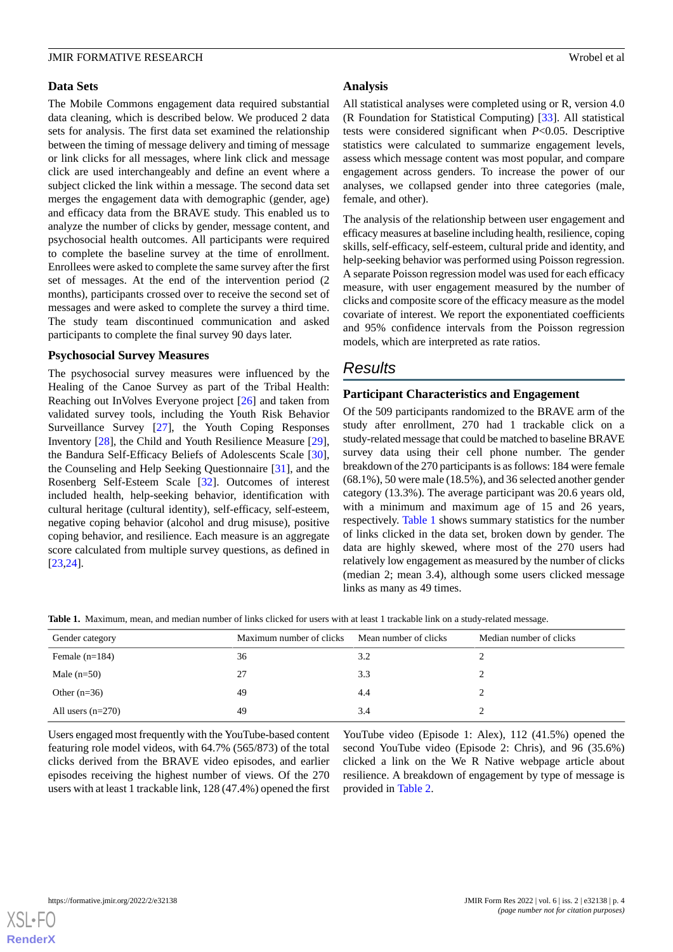#### **Data Sets**

The Mobile Commons engagement data required substantial data cleaning, which is described below. We produced 2 data sets for analysis. The first data set examined the relationship between the timing of message delivery and timing of message or link clicks for all messages, where link click and message click are used interchangeably and define an event where a subject clicked the link within a message. The second data set merges the engagement data with demographic (gender, age) and efficacy data from the BRAVE study. This enabled us to analyze the number of clicks by gender, message content, and psychosocial health outcomes. All participants were required to complete the baseline survey at the time of enrollment. Enrollees were asked to complete the same survey after the first set of messages. At the end of the intervention period (2 months), participants crossed over to receive the second set of messages and were asked to complete the survey a third time. The study team discontinued communication and asked participants to complete the final survey 90 days later.

#### **Psychosocial Survey Measures**

The psychosocial survey measures were influenced by the Healing of the Canoe Survey as part of the Tribal Health: Reaching out InVolves Everyone project [\[26](#page-8-16)] and taken from validated survey tools, including the Youth Risk Behavior Surveillance Survey [\[27](#page-9-0)], the Youth Coping Responses Inventory [\[28](#page-9-1)], the Child and Youth Resilience Measure [[29\]](#page-9-2), the Bandura Self-Efficacy Beliefs of Adolescents Scale [[30\]](#page-9-3), the Counseling and Help Seeking Questionnaire [\[31](#page-9-4)], and the Rosenberg Self-Esteem Scale [\[32](#page-9-5)]. Outcomes of interest included health, help-seeking behavior, identification with cultural heritage (cultural identity), self-efficacy, self-esteem, negative coping behavior (alcohol and drug misuse), positive coping behavior, and resilience. Each measure is an aggregate score calculated from multiple survey questions, as defined in [[23](#page-8-13)[,24](#page-8-14)].

#### **Analysis**

All statistical analyses were completed using or R, version 4.0 (R Foundation for Statistical Computing) [\[33](#page-9-6)]. All statistical tests were considered significant when *P*<0.05. Descriptive statistics were calculated to summarize engagement levels, assess which message content was most popular, and compare engagement across genders. To increase the power of our analyses, we collapsed gender into three categories (male, female, and other).

The analysis of the relationship between user engagement and efficacy measures at baseline including health, resilience, coping skills, self-efficacy, self-esteem, cultural pride and identity, and help-seeking behavior was performed using Poisson regression. A separate Poisson regression model was used for each efficacy measure, with user engagement measured by the number of clicks and composite score of the efficacy measure as the model covariate of interest. We report the exponentiated coefficients and 95% confidence intervals from the Poisson regression models, which are interpreted as rate ratios.

# *Results*

#### **Participant Characteristics and Engagement**

Of the 509 participants randomized to the BRAVE arm of the study after enrollment, 270 had 1 trackable click on a study-related message that could be matched to baseline BRAVE survey data using their cell phone number. The gender breakdown of the 270 participants is as follows: 184 were female (68.1%), 50 were male (18.5%), and 36 selected another gender category (13.3%). The average participant was 20.6 years old, with a minimum and maximum age of 15 and 26 years, respectively. [Table 1](#page-3-0) shows summary statistics for the number of links clicked in the data set, broken down by gender. The data are highly skewed, where most of the 270 users had relatively low engagement as measured by the number of clicks (median 2; mean 3.4), although some users clicked message links as many as 49 times.

<span id="page-3-0"></span>**Table 1.** Maximum, mean, and median number of links clicked for users with at least 1 trackable link on a study-related message.

| Gender category     | Maximum number of clicks | Mean number of clicks | Median number of clicks |
|---------------------|--------------------------|-----------------------|-------------------------|
| Female $(n=184)$    | 36                       | 3.2                   |                         |
| Male $(n=50)$       | 27                       | 3.3                   |                         |
| Other $(n=36)$      | 49                       | 4.4                   |                         |
| All users $(n=270)$ | 49                       | 3.4                   |                         |

Users engaged most frequently with the YouTube-based content featuring role model videos, with 64.7% (565/873) of the total clicks derived from the BRAVE video episodes, and earlier episodes receiving the highest number of views. Of the 270 users with at least 1 trackable link, 128 (47.4%) opened the first

YouTube video (Episode 1: Alex), 112 (41.5%) opened the second YouTube video (Episode 2: Chris), and 96 (35.6%) clicked a link on the We R Native webpage article about resilience. A breakdown of engagement by type of message is provided in [Table 2](#page-4-0).

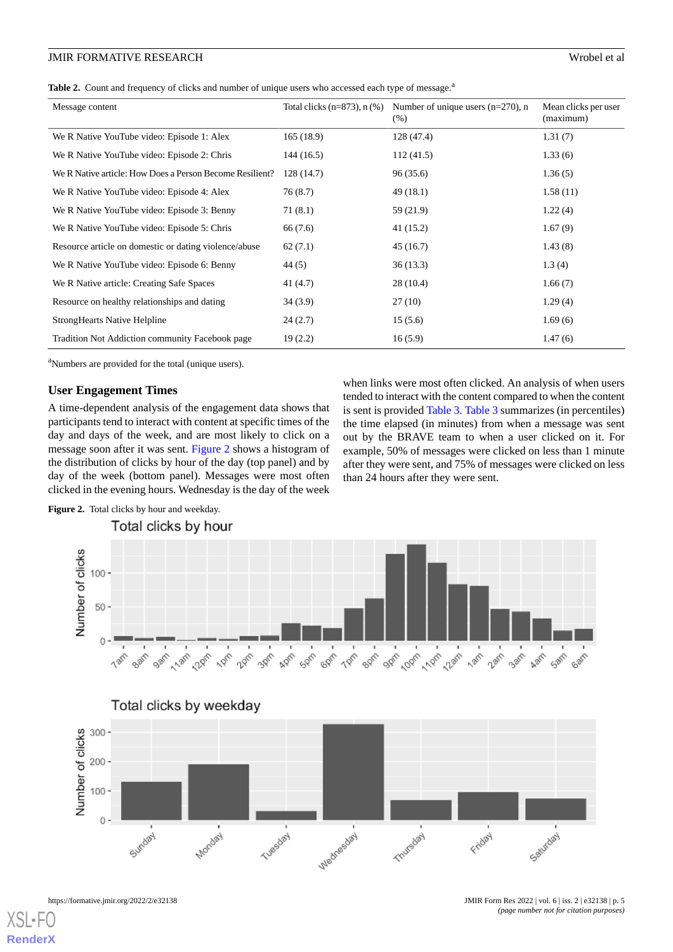#### JMIR FORMATIVE RESEARCH Wrobel et al

<span id="page-4-0"></span>

| Table 2. Count and frequency of clicks and number of unique users who accessed each type of message. <sup>a</sup> |  |  |
|-------------------------------------------------------------------------------------------------------------------|--|--|
|                                                                                                                   |  |  |

| Message content                                          | Total clicks $(n=873)$ , n $(\%)$ | Number of unique users $(n=270)$ , n<br>(%) | Mean clicks per user<br>(maximum) |
|----------------------------------------------------------|-----------------------------------|---------------------------------------------|-----------------------------------|
| We R Native YouTube video: Episode 1: Alex               | 165(18.9)                         | 128 (47.4)                                  | 1.31(7)                           |
| We R Native YouTube video: Episode 2: Chris              | 144(16.5)                         | 112(41.5)                                   | 1.33(6)                           |
| We R Native article: How Does a Person Become Resilient? | 128(14.7)                         | 96 (35.6)                                   | 1.36(5)                           |
| We R Native YouTube video: Episode 4: Alex               | 76 (8.7)                          | 49(18.1)                                    | 1.58(11)                          |
| We R Native YouTube video: Episode 3: Benny              | 71(8.1)                           | 59 (21.9)                                   | 1.22(4)                           |
| We R Native YouTube video: Episode 5: Chris              | 66 (7.6)                          | 41 (15.2)                                   | 1.67(9)                           |
| Resource article on domestic or dating violence/abuse    | 62(7.1)                           | 45 (16.7)                                   | 1.43(8)                           |
| We R Native YouTube video: Episode 6: Benny              | 44 (5)                            | 36(13.3)                                    | 1.3(4)                            |
| We R Native article: Creating Safe Spaces                | 41 (4.7)                          | 28(10.4)                                    | 1.66(7)                           |
| Resource on healthy relationships and dating             | 34 (3.9)                          | 27 (10)                                     | 1.29(4)                           |
| <b>StrongHearts Native Helpline</b>                      | 24(2.7)                           | 15(5.6)                                     | 1.69(6)                           |
| Tradition Not Addiction community Facebook page          | 19(2.2)                           | 16(5.9)                                     | 1.47(6)                           |

<sup>a</sup>Numbers are provided for the total (unique users).

Figure 2. Total clicks by hour and weekday.

#### **User Engagement Times**

<span id="page-4-1"></span>A time-dependent analysis of the engagement data shows that participants tend to interact with content at specific times of the day and days of the week, and are most likely to click on a message soon after it was sent. [Figure 2](#page-4-1) shows a histogram of the distribution of clicks by hour of the day (top panel) and by day of the week (bottom panel). Messages were most often clicked in the evening hours. Wednesday is the day of the week

when links were most often clicked. An analysis of when users tended to interact with the content compared to when the content is sent is provided [Table 3. Table 3](#page-5-0) summarizes (in percentiles) the time elapsed (in minutes) from when a message was sent out by the BRAVE team to when a user clicked on it. For example, 50% of messages were clicked on less than 1 minute after they were sent, and 75% of messages were clicked on less than 24 hours after they were sent.







[XSL](http://www.w3.org/Style/XSL)•F **[RenderX](http://www.renderx.com/)**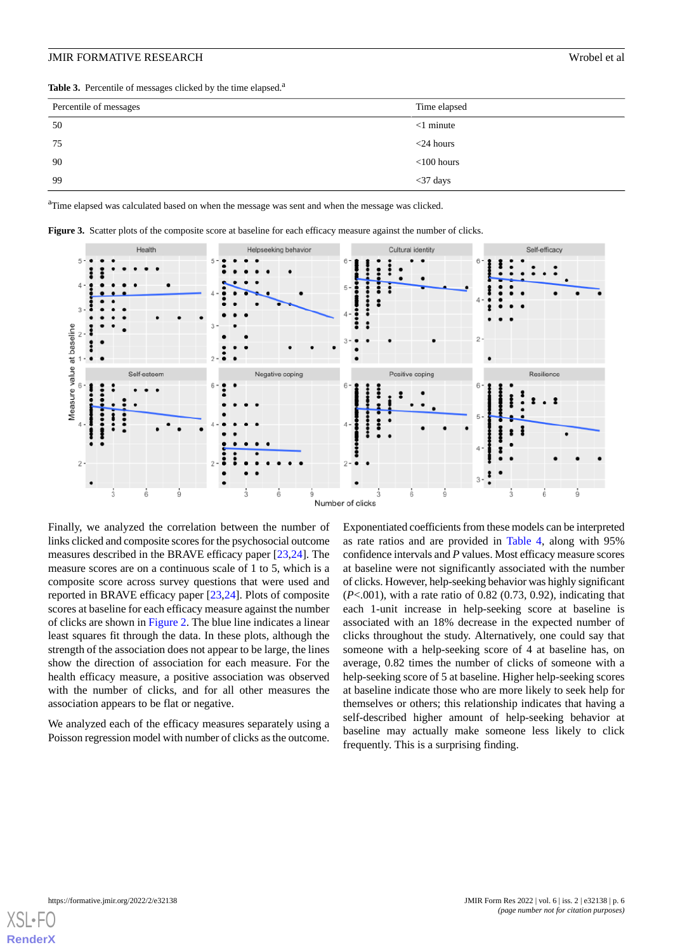<span id="page-5-0"></span>Table 3. Percentile of messages clicked by the time elapsed.<sup>a</sup>

| Percentile of messages | Time elapsed  |
|------------------------|---------------|
| 50                     | $<$ 1 minute  |
| 75                     | $<$ 24 hours  |
| 90                     | $<$ 100 hours |
| 99                     | $<$ 37 days   |

<sup>a</sup>Time elapsed was calculated based on when the message was sent and when the message was clicked.



**Figure 3.** Scatter plots of the composite score at baseline for each efficacy measure against the number of clicks.

Finally, we analyzed the correlation between the number of links clicked and composite scores for the psychosocial outcome measures described in the BRAVE efficacy paper [\[23](#page-8-13),[24\]](#page-8-14). The measure scores are on a continuous scale of 1 to 5, which is a composite score across survey questions that were used and reported in BRAVE efficacy paper [\[23](#page-8-13),[24\]](#page-8-14). Plots of composite scores at baseline for each efficacy measure against the number of clicks are shown in [Figure 2.](#page-4-1) The blue line indicates a linear least squares fit through the data. In these plots, although the strength of the association does not appear to be large, the lines show the direction of association for each measure. For the health efficacy measure, a positive association was observed with the number of clicks, and for all other measures the association appears to be flat or negative.

We analyzed each of the efficacy measures separately using a Poisson regression model with number of clicks as the outcome.

Exponentiated coefficients from these models can be interpreted as rate ratios and are provided in [Table 4](#page-6-0), along with 95% confidence intervals and *P* values. Most efficacy measure scores at baseline were not significantly associated with the number of clicks. However, help-seeking behavior was highly significant (*P*<.001), with a rate ratio of 0.82 (0.73, 0.92), indicating that each 1-unit increase in help-seeking score at baseline is associated with an 18% decrease in the expected number of clicks throughout the study. Alternatively, one could say that someone with a help-seeking score of 4 at baseline has, on average, 0.82 times the number of clicks of someone with a help-seeking score of 5 at baseline. Higher help-seeking scores at baseline indicate those who are more likely to seek help for themselves or others; this relationship indicates that having a self-described higher amount of help-seeking behavior at baseline may actually make someone less likely to click frequently. This is a surprising finding.

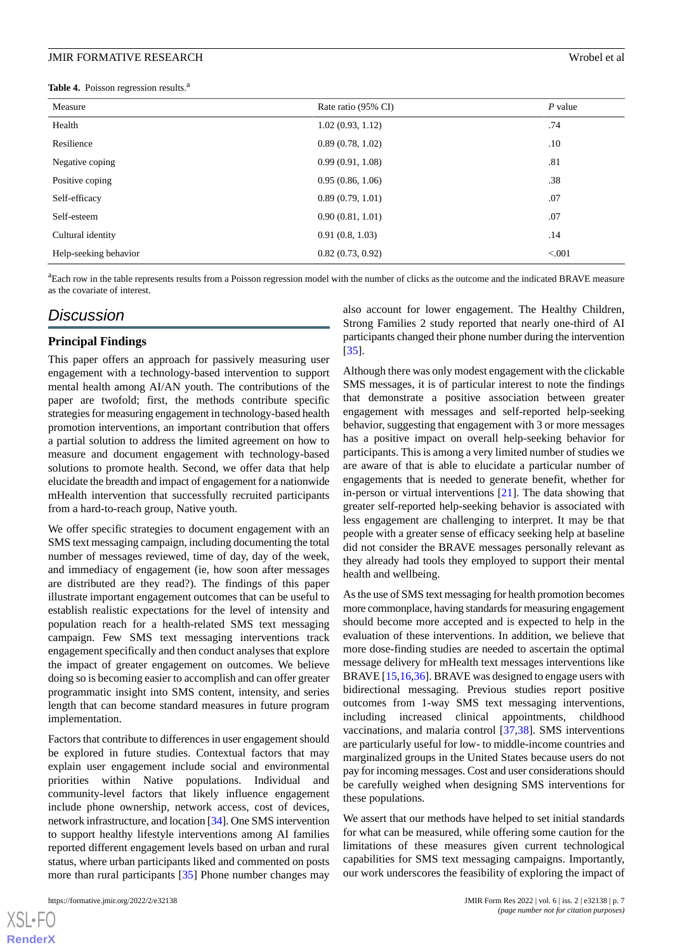#### **JMIR FORMATIVE RESEARCH** Wrobel et al.

<span id="page-6-0"></span>**Table 4.** Poisson regression results.<sup>a</sup>

| Measure               | Rate ratio (95% CI) | $P$ value |
|-----------------------|---------------------|-----------|
| Health                | 1.02(0.93, 1.12)    | .74       |
| Resilience            | 0.89(0.78, 1.02)    | .10       |
| Negative coping       | 0.99(0.91, 1.08)    | .81       |
| Positive coping       | 0.95(0.86, 1.06)    | .38       |
| Self-efficacy         | 0.89(0.79, 1.01)    | .07       |
| Self-esteem           | 0.90(0.81, 1.01)    | .07       |
| Cultural identity     | 0.91(0.8, 1.03)     | .14       |
| Help-seeking behavior | 0.82(0.73, 0.92)    | < 0.001   |

<sup>a</sup>Each row in the table represents results from a Poisson regression model with the number of clicks as the outcome and the indicated BRAVE measure as the covariate of interest.

# *Discussion*

#### **Principal Findings**

This paper offers an approach for passively measuring user engagement with a technology-based intervention to support mental health among AI/AN youth. The contributions of the paper are twofold; first, the methods contribute specific strategies for measuring engagement in technology-based health promotion interventions, an important contribution that offers a partial solution to address the limited agreement on how to measure and document engagement with technology-based solutions to promote health. Second, we offer data that help elucidate the breadth and impact of engagement for a nationwide mHealth intervention that successfully recruited participants from a hard-to-reach group, Native youth.

We offer specific strategies to document engagement with an SMS text messaging campaign, including documenting the total number of messages reviewed, time of day, day of the week, and immediacy of engagement (ie, how soon after messages are distributed are they read?). The findings of this paper illustrate important engagement outcomes that can be useful to establish realistic expectations for the level of intensity and population reach for a health-related SMS text messaging campaign. Few SMS text messaging interventions track engagement specifically and then conduct analyses that explore the impact of greater engagement on outcomes. We believe doing so is becoming easier to accomplish and can offer greater programmatic insight into SMS content, intensity, and series length that can become standard measures in future program implementation.

Factors that contribute to differences in user engagement should be explored in future studies. Contextual factors that may explain user engagement include social and environmental priorities within Native populations. Individual and community-level factors that likely influence engagement include phone ownership, network access, cost of devices, network infrastructure, and location [[34\]](#page-9-7). One SMS intervention to support healthy lifestyle interventions among AI families reported different engagement levels based on urban and rural status, where urban participants liked and commented on posts more than rural participants [\[35](#page-9-8)] Phone number changes may

 $X$ SL•F $C$ **[RenderX](http://www.renderx.com/)** also account for lower engagement. The Healthy Children, Strong Families 2 study reported that nearly one-third of AI participants changed their phone number during the intervention [[35\]](#page-9-8).

Although there was only modest engagement with the clickable SMS messages, it is of particular interest to note the findings that demonstrate a positive association between greater engagement with messages and self-reported help-seeking behavior, suggesting that engagement with 3 or more messages has a positive impact on overall help-seeking behavior for participants. This is among a very limited number of studies we are aware of that is able to elucidate a particular number of engagements that is needed to generate benefit, whether for in-person or virtual interventions [[21\]](#page-8-17). The data showing that greater self-reported help-seeking behavior is associated with less engagement are challenging to interpret. It may be that people with a greater sense of efficacy seeking help at baseline did not consider the BRAVE messages personally relevant as they already had tools they employed to support their mental health and wellbeing.

As the use of SMS text messaging for health promotion becomes more commonplace, having standards for measuring engagement should become more accepted and is expected to help in the evaluation of these interventions. In addition, we believe that more dose-finding studies are needed to ascertain the optimal message delivery for mHealth text messages interventions like BRAVE [\[15](#page-8-9),[16](#page-8-18)[,36](#page-9-9)]. BRAVE was designed to engage users with bidirectional messaging. Previous studies report positive outcomes from 1-way SMS text messaging interventions, including increased clinical appointments, childhood vaccinations, and malaria control [[37,](#page-9-10)[38](#page-9-11)]. SMS interventions are particularly useful for low- to middle-income countries and marginalized groups in the United States because users do not pay for incoming messages. Cost and user considerations should be carefully weighed when designing SMS interventions for these populations.

We assert that our methods have helped to set initial standards for what can be measured, while offering some caution for the limitations of these measures given current technological capabilities for SMS text messaging campaigns. Importantly, our work underscores the feasibility of exploring the impact of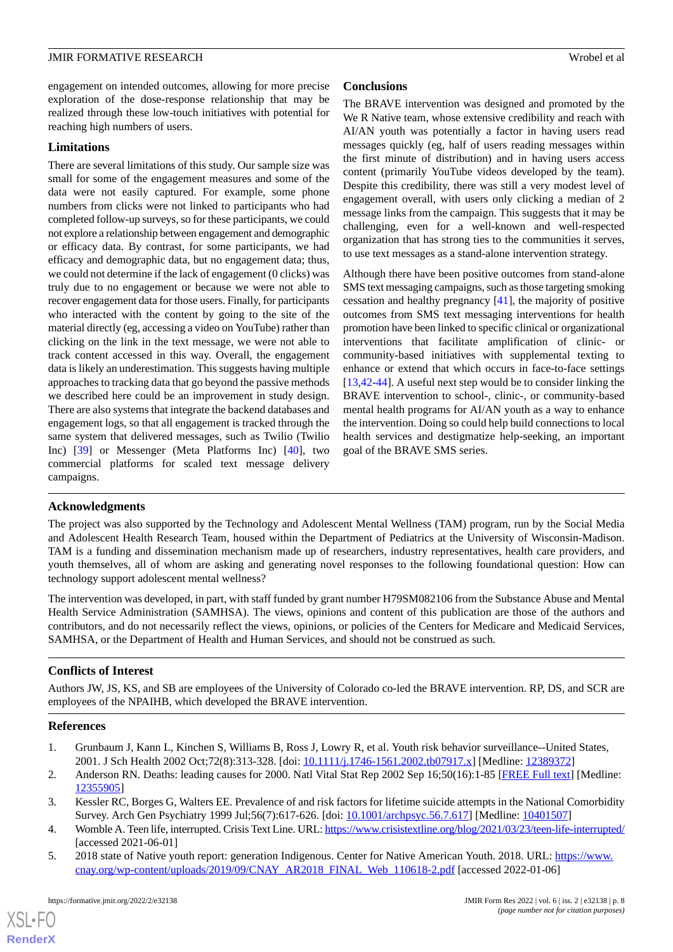engagement on intended outcomes, allowing for more precise exploration of the dose-response relationship that may be realized through these low-touch initiatives with potential for reaching high numbers of users.

#### **Limitations**

There are several limitations of this study. Our sample size was small for some of the engagement measures and some of the data were not easily captured. For example, some phone numbers from clicks were not linked to participants who had completed follow-up surveys, so for these participants, we could not explore a relationship between engagement and demographic or efficacy data. By contrast, for some participants, we had efficacy and demographic data, but no engagement data; thus, we could not determine if the lack of engagement (0 clicks) was truly due to no engagement or because we were not able to recover engagement data for those users. Finally, for participants who interacted with the content by going to the site of the material directly (eg, accessing a video on YouTube) rather than clicking on the link in the text message, we were not able to track content accessed in this way. Overall, the engagement data is likely an underestimation. This suggests having multiple approaches to tracking data that go beyond the passive methods we described here could be an improvement in study design. There are also systems that integrate the backend databases and engagement logs, so that all engagement is tracked through the same system that delivered messages, such as Twilio (Twilio Inc) [\[39](#page-9-12)] or Messenger (Meta Platforms Inc) [\[40](#page-9-13)], two commercial platforms for scaled text message delivery campaigns.

#### **Conclusions**

The BRAVE intervention was designed and promoted by the We R Native team, whose extensive credibility and reach with AI/AN youth was potentially a factor in having users read messages quickly (eg, half of users reading messages within the first minute of distribution) and in having users access content (primarily YouTube videos developed by the team). Despite this credibility, there was still a very modest level of engagement overall, with users only clicking a median of 2 message links from the campaign. This suggests that it may be challenging, even for a well-known and well-respected organization that has strong ties to the communities it serves, to use text messages as a stand-alone intervention strategy.

Although there have been positive outcomes from stand-alone SMS text messaging campaigns, such as those targeting smoking cessation and healthy pregnancy [\[41](#page-9-14)], the majority of positive outcomes from SMS text messaging interventions for health promotion have been linked to specific clinical or organizational interventions that facilitate amplification of clinic- or community-based initiatives with supplemental texting to enhance or extend that which occurs in face-to-face settings [[13,](#page-8-7)[42-](#page-9-15)[44\]](#page-9-16). A useful next step would be to consider linking the BRAVE intervention to school-, clinic-, or community-based mental health programs for AI/AN youth as a way to enhance the intervention. Doing so could help build connections to local health services and destigmatize help-seeking, an important goal of the BRAVE SMS series.

#### **Acknowledgments**

The project was also supported by the Technology and Adolescent Mental Wellness (TAM) program, run by the Social Media and Adolescent Health Research Team, housed within the Department of Pediatrics at the University of Wisconsin-Madison. TAM is a funding and dissemination mechanism made up of researchers, industry representatives, health care providers, and youth themselves, all of whom are asking and generating novel responses to the following foundational question: How can technology support adolescent mental wellness?

The intervention was developed, in part, with staff funded by grant number H79SM082106 from the Substance Abuse and Mental Health Service Administration (SAMHSA). The views, opinions and content of this publication are those of the authors and contributors, and do not necessarily reflect the views, opinions, or policies of the Centers for Medicare and Medicaid Services, SAMHSA, or the Department of Health and Human Services, and should not be construed as such.

#### <span id="page-7-0"></span>**Conflicts of Interest**

<span id="page-7-1"></span>Authors JW, JS, KS, and SB are employees of the University of Colorado co-led the BRAVE intervention. RP, DS, and SCR are employees of the NPAIHB, which developed the BRAVE intervention.

#### <span id="page-7-2"></span>**References**

- <span id="page-7-3"></span>1. Grunbaum J, Kann L, Kinchen S, Williams B, Ross J, Lowry R, et al. Youth risk behavior surveillance--United States, 2001. J Sch Health 2002 Oct;72(8):313-328. [doi: [10.1111/j.1746-1561.2002.tb07917.x\]](http://dx.doi.org/10.1111/j.1746-1561.2002.tb07917.x) [Medline: [12389372](http://www.ncbi.nlm.nih.gov/entrez/query.fcgi?cmd=Retrieve&db=PubMed&list_uids=12389372&dopt=Abstract)]
- <span id="page-7-4"></span>2. Anderson RN. Deaths: leading causes for 2000. Natl Vital Stat Rep 2002 Sep 16;50(16):1-85 [\[FREE Full text\]](https://www.cdc.gov/nchs/data/nvsr/nvsr50/nvsr50_16.pdf) [Medline: [12355905](http://www.ncbi.nlm.nih.gov/entrez/query.fcgi?cmd=Retrieve&db=PubMed&list_uids=12355905&dopt=Abstract)]
- 3. Kessler RC, Borges G, Walters EE. Prevalence of and risk factors for lifetime suicide attempts in the National Comorbidity Survey. Arch Gen Psychiatry 1999 Jul;56(7):617-626. [doi: [10.1001/archpsyc.56.7.617\]](http://dx.doi.org/10.1001/archpsyc.56.7.617) [Medline: [10401507](http://www.ncbi.nlm.nih.gov/entrez/query.fcgi?cmd=Retrieve&db=PubMed&list_uids=10401507&dopt=Abstract)]
- 4. Womble A. Teen life, interrupted. Crisis Text Line. URL:<https://www.crisistextline.org/blog/2021/03/23/teen-life-interrupted/> [accessed 2021-06-01]
- 5. 2018 state of Native youth report: generation Indigenous. Center for Native American Youth. 2018. URL: [https://www.](https://www.cnay.org/wp-content/uploads/2019/09/CNAY_AR2018_FINAL_Web_110618-2.pdf) [cnay.org/wp-content/uploads/2019/09/CNAY\\_AR2018\\_FINAL\\_Web\\_110618-2.pdf](https://www.cnay.org/wp-content/uploads/2019/09/CNAY_AR2018_FINAL_Web_110618-2.pdf) [accessed 2022-01-06]

 $XSI - F($ **[RenderX](http://www.renderx.com/)**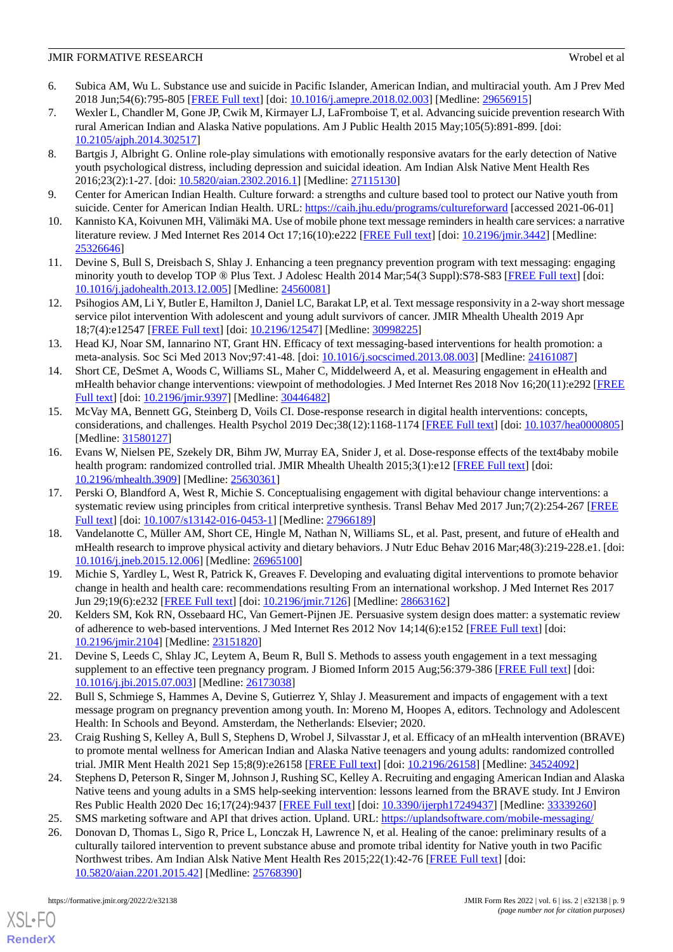#### **JMIR FORMATIVE RESEARCH WEEKSTANDER WEEKSTANDER WEEKSTANDER WEEKSTANDER WEEKSTANDER WEEKSTANDER WEEKSTANDER WEEKSTANDER ENGINEERING WEEKSTANDER IN A STATISTIC METALLOGIES ON A STATISTIC METALLOGIES ON A STATISTIC METALLOG**

- <span id="page-8-0"></span>6. Subica AM, Wu L. Substance use and suicide in Pacific Islander, American Indian, and multiracial youth. Am J Prev Med 2018 Jun;54(6):795-805 [\[FREE Full text\]](http://europepmc.org/abstract/MED/29656915) [doi: [10.1016/j.amepre.2018.02.003](http://dx.doi.org/10.1016/j.amepre.2018.02.003)] [Medline: [29656915](http://www.ncbi.nlm.nih.gov/entrez/query.fcgi?cmd=Retrieve&db=PubMed&list_uids=29656915&dopt=Abstract)]
- <span id="page-8-1"></span>7. Wexler L, Chandler M, Gone JP, Cwik M, Kirmayer LJ, LaFromboise T, et al. Advancing suicide prevention research With rural American Indian and Alaska Native populations. Am J Public Health 2015 May;105(5):891-899. [doi: [10.2105/ajph.2014.302517](http://dx.doi.org/10.2105/ajph.2014.302517)]
- <span id="page-8-2"></span>8. Bartgis J, Albright G. Online role-play simulations with emotionally responsive avatars for the early detection of Native youth psychological distress, including depression and suicidal ideation. Am Indian Alsk Native Ment Health Res 2016;23(2):1-27. [doi: [10.5820/aian.2302.2016.1\]](http://dx.doi.org/10.5820/aian.2302.2016.1) [Medline: [27115130\]](http://www.ncbi.nlm.nih.gov/entrez/query.fcgi?cmd=Retrieve&db=PubMed&list_uids=27115130&dopt=Abstract)
- <span id="page-8-4"></span><span id="page-8-3"></span>9. Center for American Indian Health. Culture forward: a strengths and culture based tool to protect our Native youth from suicide. Center for American Indian Health. URL:<https://caih.jhu.edu/programs/cultureforward> [accessed 2021-06-01]
- <span id="page-8-5"></span>10. Kannisto KA, Koivunen MH, Välimäki MA. Use of mobile phone text message reminders in health care services: a narrative literature review. J Med Internet Res 2014 Oct 17;16(10):e222 [\[FREE Full text\]](https://www.jmir.org/2014/10/e222/) [doi: [10.2196/jmir.3442\]](http://dx.doi.org/10.2196/jmir.3442) [Medline: [25326646](http://www.ncbi.nlm.nih.gov/entrez/query.fcgi?cmd=Retrieve&db=PubMed&list_uids=25326646&dopt=Abstract)]
- <span id="page-8-6"></span>11. Devine S, Bull S, Dreisbach S, Shlay J. Enhancing a teen pregnancy prevention program with text messaging: engaging minority youth to develop TOP ® Plus Text. J Adolesc Health 2014 Mar;54(3 Suppl):S78-S83 [[FREE Full text](https://linkinghub.elsevier.com/retrieve/pii/S1054-139X(13)00799-4)] [doi: [10.1016/j.jadohealth.2013.12.005](http://dx.doi.org/10.1016/j.jadohealth.2013.12.005)] [Medline: [24560081](http://www.ncbi.nlm.nih.gov/entrez/query.fcgi?cmd=Retrieve&db=PubMed&list_uids=24560081&dopt=Abstract)]
- <span id="page-8-7"></span>12. Psihogios AM, Li Y, Butler E, Hamilton J, Daniel LC, Barakat LP, et al. Text message responsivity in a 2-way short message service pilot intervention With adolescent and young adult survivors of cancer. JMIR Mhealth Uhealth 2019 Apr 18;7(4):e12547 [\[FREE Full text](https://mhealth.jmir.org/2019/4/e12547/)] [doi: [10.2196/12547\]](http://dx.doi.org/10.2196/12547) [Medline: [30998225\]](http://www.ncbi.nlm.nih.gov/entrez/query.fcgi?cmd=Retrieve&db=PubMed&list_uids=30998225&dopt=Abstract)
- <span id="page-8-8"></span>13. Head KJ, Noar SM, Iannarino NT, Grant HN. Efficacy of text messaging-based interventions for health promotion: a meta-analysis. Soc Sci Med 2013 Nov;97:41-48. [doi: [10.1016/j.socscimed.2013.08.003\]](http://dx.doi.org/10.1016/j.socscimed.2013.08.003) [Medline: [24161087\]](http://www.ncbi.nlm.nih.gov/entrez/query.fcgi?cmd=Retrieve&db=PubMed&list_uids=24161087&dopt=Abstract)
- <span id="page-8-9"></span>14. Short CE, DeSmet A, Woods C, Williams SL, Maher C, Middelweerd A, et al. Measuring engagement in eHealth and mHealth behavior change interventions: viewpoint of methodologies. J Med Internet Res 2018 Nov 16;20(11):e292 [\[FREE](https://www.jmir.org/2018/11/e292/) [Full text\]](https://www.jmir.org/2018/11/e292/) [doi: [10.2196/jmir.9397](http://dx.doi.org/10.2196/jmir.9397)] [Medline: [30446482\]](http://www.ncbi.nlm.nih.gov/entrez/query.fcgi?cmd=Retrieve&db=PubMed&list_uids=30446482&dopt=Abstract)
- <span id="page-8-18"></span>15. McVay MA, Bennett GG, Steinberg D, Voils CI. Dose-response research in digital health interventions: concepts, considerations, and challenges. Health Psychol 2019 Dec;38(12):1168-1174 [[FREE Full text](http://europepmc.org/abstract/MED/31580127)] [doi: [10.1037/hea0000805](http://dx.doi.org/10.1037/hea0000805)] [Medline: [31580127](http://www.ncbi.nlm.nih.gov/entrez/query.fcgi?cmd=Retrieve&db=PubMed&list_uids=31580127&dopt=Abstract)]
- <span id="page-8-10"></span>16. Evans W, Nielsen PE, Szekely DR, Bihm JW, Murray EA, Snider J, et al. Dose-response effects of the text4baby mobile health program: randomized controlled trial. JMIR Mhealth Uhealth 2015;3(1):e12 [\[FREE Full text\]](http://mhealth.jmir.org/2015/1/e12/) [doi: [10.2196/mhealth.3909](http://dx.doi.org/10.2196/mhealth.3909)] [Medline: [25630361](http://www.ncbi.nlm.nih.gov/entrez/query.fcgi?cmd=Retrieve&db=PubMed&list_uids=25630361&dopt=Abstract)]
- <span id="page-8-11"></span>17. Perski O, Blandford A, West R, Michie S. Conceptualising engagement with digital behaviour change interventions: a systematic review using principles from critical interpretive synthesis. Transl Behav Med 2017 Jun;7(2):254-267 [[FREE](http://europepmc.org/abstract/MED/27966189) [Full text\]](http://europepmc.org/abstract/MED/27966189) [doi: [10.1007/s13142-016-0453-1](http://dx.doi.org/10.1007/s13142-016-0453-1)] [Medline: [27966189](http://www.ncbi.nlm.nih.gov/entrez/query.fcgi?cmd=Retrieve&db=PubMed&list_uids=27966189&dopt=Abstract)]
- 18. Vandelanotte C, Müller AM, Short CE, Hingle M, Nathan N, Williams SL, et al. Past, present, and future of eHealth and mHealth research to improve physical activity and dietary behaviors. J Nutr Educ Behav 2016 Mar;48(3):219-228.e1. [doi: [10.1016/j.jneb.2015.12.006](http://dx.doi.org/10.1016/j.jneb.2015.12.006)] [Medline: [26965100](http://www.ncbi.nlm.nih.gov/entrez/query.fcgi?cmd=Retrieve&db=PubMed&list_uids=26965100&dopt=Abstract)]
- <span id="page-8-17"></span>19. Michie S, Yardley L, West R, Patrick K, Greaves F. Developing and evaluating digital interventions to promote behavior change in health and health care: recommendations resulting From an international workshop. J Med Internet Res 2017 Jun 29;19(6):e232 [\[FREE Full text\]](https://www.jmir.org/2017/6/e232/) [doi: [10.2196/jmir.7126\]](http://dx.doi.org/10.2196/jmir.7126) [Medline: [28663162\]](http://www.ncbi.nlm.nih.gov/entrez/query.fcgi?cmd=Retrieve&db=PubMed&list_uids=28663162&dopt=Abstract)
- <span id="page-8-12"></span>20. Kelders SM, Kok RN, Ossebaard HC, Van Gemert-Pijnen JE. Persuasive system design does matter: a systematic review of adherence to web-based interventions. J Med Internet Res 2012 Nov 14;14(6):e152 [[FREE Full text](https://www.jmir.org/2012/6/e152/)] [doi: [10.2196/jmir.2104](http://dx.doi.org/10.2196/jmir.2104)] [Medline: [23151820](http://www.ncbi.nlm.nih.gov/entrez/query.fcgi?cmd=Retrieve&db=PubMed&list_uids=23151820&dopt=Abstract)]
- <span id="page-8-13"></span>21. Devine S, Leeds C, Shlay JC, Leytem A, Beum R, Bull S. Methods to assess youth engagement in a text messaging supplement to an effective teen pregnancy program. J Biomed Inform 2015 Aug;56:379-386 [\[FREE Full text\]](https://linkinghub.elsevier.com/retrieve/pii/S1532-0464(15)00143-4) [doi: [10.1016/j.jbi.2015.07.003](http://dx.doi.org/10.1016/j.jbi.2015.07.003)] [Medline: [26173038\]](http://www.ncbi.nlm.nih.gov/entrez/query.fcgi?cmd=Retrieve&db=PubMed&list_uids=26173038&dopt=Abstract)
- <span id="page-8-14"></span>22. Bull S, Schmiege S, Hammes A, Devine S, Gutierrez Y, Shlay J. Measurement and impacts of engagement with a text message program on pregnancy prevention among youth. In: Moreno M, Hoopes A, editors. Technology and Adolescent Health: In Schools and Beyond. Amsterdam, the Netherlands: Elsevier; 2020.
- <span id="page-8-16"></span><span id="page-8-15"></span>23. Craig Rushing S, Kelley A, Bull S, Stephens D, Wrobel J, Silvasstar J, et al. Efficacy of an mHealth intervention (BRAVE) to promote mental wellness for American Indian and Alaska Native teenagers and young adults: randomized controlled trial. JMIR Ment Health 2021 Sep 15;8(9):e26158 [\[FREE Full text\]](https://mental.jmir.org/2021/9/e26158/) [doi: [10.2196/26158](http://dx.doi.org/10.2196/26158)] [Medline: [34524092\]](http://www.ncbi.nlm.nih.gov/entrez/query.fcgi?cmd=Retrieve&db=PubMed&list_uids=34524092&dopt=Abstract)
- 24. Stephens D, Peterson R, Singer M, Johnson J, Rushing SC, Kelley A. Recruiting and engaging American Indian and Alaska Native teens and young adults in a SMS help-seeking intervention: lessons learned from the BRAVE study. Int J Environ Res Public Health 2020 Dec 16;17(24):9437 [\[FREE Full text\]](https://www.mdpi.com/resolver?pii=ijerph17249437) [doi: [10.3390/ijerph17249437\]](http://dx.doi.org/10.3390/ijerph17249437) [Medline: [33339260](http://www.ncbi.nlm.nih.gov/entrez/query.fcgi?cmd=Retrieve&db=PubMed&list_uids=33339260&dopt=Abstract)]
- 25. SMS marketing software and API that drives action. Upland. URL: <https://uplandsoftware.com/mobile-messaging/>
- 26. Donovan D, Thomas L, Sigo R, Price L, Lonczak H, Lawrence N, et al. Healing of the canoe: preliminary results of a culturally tailored intervention to prevent substance abuse and promote tribal identity for Native youth in two Pacific Northwest tribes. Am Indian Alsk Native Ment Health Res 2015;22(1):42-76 [\[FREE Full text\]](http://europepmc.org/abstract/MED/25768390) [doi: [10.5820/aian.2201.2015.42\]](http://dx.doi.org/10.5820/aian.2201.2015.42) [Medline: [25768390\]](http://www.ncbi.nlm.nih.gov/entrez/query.fcgi?cmd=Retrieve&db=PubMed&list_uids=25768390&dopt=Abstract)

[XSL](http://www.w3.org/Style/XSL)•FO **[RenderX](http://www.renderx.com/)**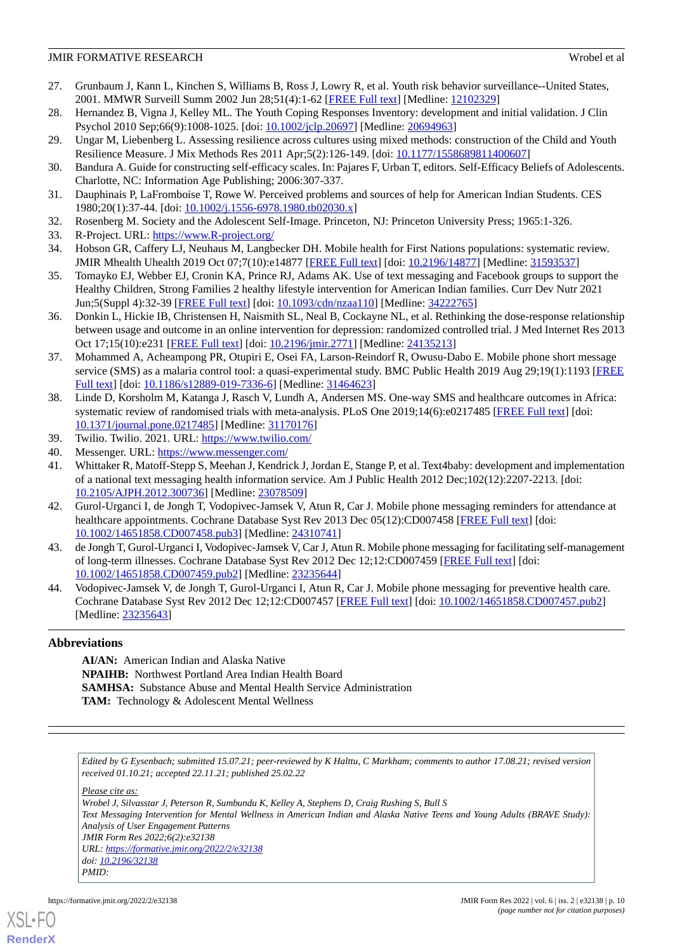#### **JMIR FORMATIVE RESEARCH WEEKSTANDER WEEKSTANDER WEEKSTANDER WEEKSTANDER WEEKSTANDER WEEKSTANDER WEEKSTANDER WEEKSTANDER ENGINEERING WEEKSTANDER IN A STATISTIC METALLOGIES ON A STATISTIC METALLOGIES ON A STATISTIC METALLOG**

- <span id="page-9-0"></span>27. Grunbaum J, Kann L, Kinchen S, Williams B, Ross J, Lowry R, et al. Youth risk behavior surveillance--United States, 2001. MMWR Surveill Summ 2002 Jun 28;51(4):1-62 [[FREE Full text](http://www.cdc.gov/mmwr/preview/mmwrhtml/ss5104a1.htm)] [Medline: [12102329](http://www.ncbi.nlm.nih.gov/entrez/query.fcgi?cmd=Retrieve&db=PubMed&list_uids=12102329&dopt=Abstract)]
- <span id="page-9-2"></span><span id="page-9-1"></span>28. Hernandez B, Vigna J, Kelley ML. The Youth Coping Responses Inventory: development and initial validation. J Clin Psychol 2010 Sep;66(9):1008-1025. [doi: [10.1002/jclp.20697\]](http://dx.doi.org/10.1002/jclp.20697) [Medline: [20694963\]](http://www.ncbi.nlm.nih.gov/entrez/query.fcgi?cmd=Retrieve&db=PubMed&list_uids=20694963&dopt=Abstract)
- <span id="page-9-3"></span>29. Ungar M, Liebenberg L. Assessing resilience across cultures using mixed methods: construction of the Child and Youth Resilience Measure. J Mix Methods Res 2011 Apr;5(2):126-149. [doi: [10.1177/1558689811400607\]](http://dx.doi.org/10.1177/1558689811400607)
- <span id="page-9-4"></span>30. Bandura A. Guide for constructing self-efficacy scales. In: Pajares F, Urban T, editors. Self-Efficacy Beliefs of Adolescents. Charlotte, NC: Information Age Publishing; 2006:307-337.
- <span id="page-9-5"></span>31. Dauphinais P, LaFromboise T, Rowe W. Perceived problems and sources of help for American Indian Students. CES 1980;20(1):37-44. [doi: [10.1002/j.1556-6978.1980.tb02030.x\]](http://dx.doi.org/10.1002/j.1556-6978.1980.tb02030.x)
- <span id="page-9-7"></span><span id="page-9-6"></span>32. Rosenberg M. Society and the Adolescent Self-Image. Princeton, NJ: Princeton University Press; 1965:1-326.
- 33. R-Project. URL:<https://www.R-project.org/>
- <span id="page-9-8"></span>34. Hobson GR, Caffery LJ, Neuhaus M, Langbecker DH. Mobile health for First Nations populations: systematic review. JMIR Mhealth Uhealth 2019 Oct 07;7(10):e14877 [[FREE Full text](https://mhealth.jmir.org/2019/10/e14877/)] [doi: [10.2196/14877\]](http://dx.doi.org/10.2196/14877) [Medline: [31593537](http://www.ncbi.nlm.nih.gov/entrez/query.fcgi?cmd=Retrieve&db=PubMed&list_uids=31593537&dopt=Abstract)]
- <span id="page-9-9"></span>35. Tomayko EJ, Webber EJ, Cronin KA, Prince RJ, Adams AK. Use of text messaging and Facebook groups to support the Healthy Children, Strong Families 2 healthy lifestyle intervention for American Indian families. Curr Dev Nutr 2021 Jun;5(Suppl 4):32-39 [[FREE Full text](http://europepmc.org/abstract/MED/34222765)] [doi: [10.1093/cdn/nzaa110](http://dx.doi.org/10.1093/cdn/nzaa110)] [Medline: [34222765\]](http://www.ncbi.nlm.nih.gov/entrez/query.fcgi?cmd=Retrieve&db=PubMed&list_uids=34222765&dopt=Abstract)
- <span id="page-9-10"></span>36. Donkin L, Hickie IB, Christensen H, Naismith SL, Neal B, Cockayne NL, et al. Rethinking the dose-response relationship between usage and outcome in an online intervention for depression: randomized controlled trial. J Med Internet Res 2013 Oct 17;15(10):e231 [[FREE Full text](https://www.jmir.org/2013/10/e231/)] [doi: [10.2196/jmir.2771](http://dx.doi.org/10.2196/jmir.2771)] [Medline: [24135213](http://www.ncbi.nlm.nih.gov/entrez/query.fcgi?cmd=Retrieve&db=PubMed&list_uids=24135213&dopt=Abstract)]
- <span id="page-9-11"></span>37. Mohammed A, Acheampong PR, Otupiri E, Osei FA, Larson-Reindorf R, Owusu-Dabo E. Mobile phone short message service (SMS) as a malaria control tool: a quasi-experimental study. BMC Public Health 2019 Aug 29;19(1):1193 [[FREE](https://bmcpublichealth.biomedcentral.com/articles/10.1186/s12889-019-7336-6) [Full text\]](https://bmcpublichealth.biomedcentral.com/articles/10.1186/s12889-019-7336-6) [doi: [10.1186/s12889-019-7336-6](http://dx.doi.org/10.1186/s12889-019-7336-6)] [Medline: [31464623](http://www.ncbi.nlm.nih.gov/entrez/query.fcgi?cmd=Retrieve&db=PubMed&list_uids=31464623&dopt=Abstract)]
- <span id="page-9-13"></span><span id="page-9-12"></span>38. Linde D, Korsholm M, Katanga J, Rasch V, Lundh A, Andersen MS. One-way SMS and healthcare outcomes in Africa: systematic review of randomised trials with meta-analysis. PLoS One 2019;14(6):e0217485 [[FREE Full text](https://dx.plos.org/10.1371/journal.pone.0217485)] [doi: [10.1371/journal.pone.0217485\]](http://dx.doi.org/10.1371/journal.pone.0217485) [Medline: [31170176](http://www.ncbi.nlm.nih.gov/entrez/query.fcgi?cmd=Retrieve&db=PubMed&list_uids=31170176&dopt=Abstract)]
- <span id="page-9-14"></span>39. Twilio. Twilio. 2021. URL:<https://www.twilio.com/>
- <span id="page-9-15"></span>40. Messenger. URL: <https://www.messenger.com/>
- 41. Whittaker R, Matoff-Stepp S, Meehan J, Kendrick J, Jordan E, Stange P, et al. Text4baby: development and implementation of a national text messaging health information service. Am J Public Health 2012 Dec;102(12):2207-2213. [doi: [10.2105/AJPH.2012.300736\]](http://dx.doi.org/10.2105/AJPH.2012.300736) [Medline: [23078509](http://www.ncbi.nlm.nih.gov/entrez/query.fcgi?cmd=Retrieve&db=PubMed&list_uids=23078509&dopt=Abstract)]
- 42. Gurol-Urganci I, de Jongh T, Vodopivec-Jamsek V, Atun R, Car J. Mobile phone messaging reminders for attendance at healthcare appointments. Cochrane Database Syst Rev 2013 Dec 05(12):CD007458 [\[FREE Full text\]](http://europepmc.org/abstract/MED/24310741) [doi: [10.1002/14651858.CD007458.pub3\]](http://dx.doi.org/10.1002/14651858.CD007458.pub3) [Medline: [24310741](http://www.ncbi.nlm.nih.gov/entrez/query.fcgi?cmd=Retrieve&db=PubMed&list_uids=24310741&dopt=Abstract)]
- <span id="page-9-16"></span>43. de Jongh T, Gurol-Urganci I, Vodopivec-Jamsek V, Car J, Atun R. Mobile phone messaging for facilitating self-management of long-term illnesses. Cochrane Database Syst Rev 2012 Dec 12;12:CD007459 [[FREE Full text](http://europepmc.org/abstract/MED/23235644)] [doi: [10.1002/14651858.CD007459.pub2\]](http://dx.doi.org/10.1002/14651858.CD007459.pub2) [Medline: [23235644](http://www.ncbi.nlm.nih.gov/entrez/query.fcgi?cmd=Retrieve&db=PubMed&list_uids=23235644&dopt=Abstract)]
- 44. Vodopivec-Jamsek V, de Jongh T, Gurol-Urganci I, Atun R, Car J. Mobile phone messaging for preventive health care. Cochrane Database Syst Rev 2012 Dec 12;12:CD007457 [[FREE Full text](http://europepmc.org/abstract/MED/23235643)] [doi: [10.1002/14651858.CD007457.pub2\]](http://dx.doi.org/10.1002/14651858.CD007457.pub2) [Medline: [23235643](http://www.ncbi.nlm.nih.gov/entrez/query.fcgi?cmd=Retrieve&db=PubMed&list_uids=23235643&dopt=Abstract)]

#### **Abbreviations**

**AI/AN:** American Indian and Alaska Native **NPAIHB:** Northwest Portland Area Indian Health Board **SAMHSA:** Substance Abuse and Mental Health Service Administration **TAM:** Technology & Adolescent Mental Wellness

*Edited by G Eysenbach; submitted 15.07.21; peer-reviewed by K Halttu, C Markham; comments to author 17.08.21; revised version received 01.10.21; accepted 22.11.21; published 25.02.22*

*Please cite as:*

*Wrobel J, Silvasstar J, Peterson R, Sumbundu K, Kelley A, Stephens D, Craig Rushing S, Bull S Text Messaging Intervention for Mental Wellness in American Indian and Alaska Native Teens and Young Adults (BRAVE Study): Analysis of User Engagement Patterns JMIR Form Res 2022;6(2):e32138 URL: <https://formative.jmir.org/2022/2/e32138> doi: [10.2196/32138](http://dx.doi.org/10.2196/32138) PMID:*